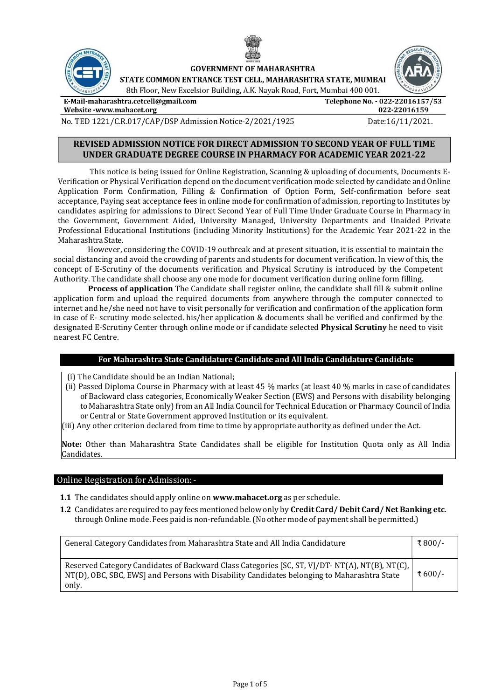

**GOVERNMENT OF MAHARASHTRA** 

STATE COMMON ENTRANCE TEST CELL. MAHARASHTRA STATE. MUMBAI

8th Floor, New Excelsior Building, A.K. Nayak Road, Fort, Mumbai 400 001.

E-Mail-maharashtra.cetcell@gmail.com

Telephone No. - 022-22016157/53 022-22016159

Website -www.mahacet.org

No. TED 1221/C.R.017/CAP/DSP Admission Notice-2/2021/1925 Date:16/11/2021.

## REVISED ADMISSION NOTICE FOR DIRECT ADMISSION TO SECOND YEAR OF FULL TIME UNDER GRADUATE DEGREE COURSE IN PHARMACY FOR ACADEMIC YEAR 2021-22

This notice is being issued for Online Registration, Scanning & uploading of documents, Documents E-Verification or Physical Verification depend on the document verification mode selected by candidate and Online Application Form Confirmation, Filling & Confirmation of Option Form, Self-confirmation before seat acceptance, Paying seat acceptance fees in online mode for confirmation of admission, reporting to Institutes by candidates aspiring for admissions to Direct Second Year of Full Time Under Graduate Course in Pharmacy in the Government, Government Aided, University Managed, University Departments and Unaided Private Professional Educational Institutions (including Minority Institutions) for the Academic Year 2021-22 in the Maharashtra State.

However, considering the COVID-19 outbreak and at present situation, it is essential to maintain the social distancing and avoid the crowding of parents and students for document verification. In view of this, the concept of E-Scrutiny of the documents verification and Physical Scrutiny is introduced by the Competent Authority. The candidate shall choose any one mode for document verification during online form filling.

Process of application The Candidate shall register online, the candidate shall fill & submit online application form and upload the required documents from anywhere through the computer connected to internet and he/she need not have to visit personally for verification and confirmation of the application form in case of E- scrutiny mode selected. his/her application & documents shall be verified and confirmed by the designated E-Scrutiny Center through online mode or if candidate selected **Physical Scrutiny** he need to visit nearest FC Centre.

## For Maharashtra State Candidature Candidate and All India Candidature Candidate

- (i) The Candidate should be an Indian National;
- (ii) Passed Diploma Course in Pharmacy with at least 45 % marks (at least 40 % marks in case of candidates of Backward class categories, Economically Weaker Section (EWS) and Persons with disability belonging to Maharashtra State only) from an All India Council for Technical Education or Pharmacy Council of India or Central or State Government approved Institution or its equivalent.
- (iii) Any other criterion declared from time to time by appropriate authority as defined under the Act.

Note: Other than Maharashtra State Candidates shall be eligible for Institution Quota only as All India Candidates.

### Online Registration for Admission: -

- 1.1 The candidates should apply online on www.mahacet.org as per schedule.
- 1.2 Candidates are required to pay fees mentioned below only by Credit Card/ Debit Card/ Net Banking etc. through Online mode. Fees paid is non-refundable. (No other mode of payment shall be permitted.)

| General Category Candidates from Maharashtra State and All India Candidature                                                                                                                           | ₹800/- |
|--------------------------------------------------------------------------------------------------------------------------------------------------------------------------------------------------------|--------|
| Reserved Category Candidates of Backward Class Categories [SC, ST, VJ/DT- NT(A), NT(B), NT(C),<br>NT(D), OBC, SBC, EWS] and Persons with Disability Candidates belonging to Maharashtra State<br>only. | ₹600/- |

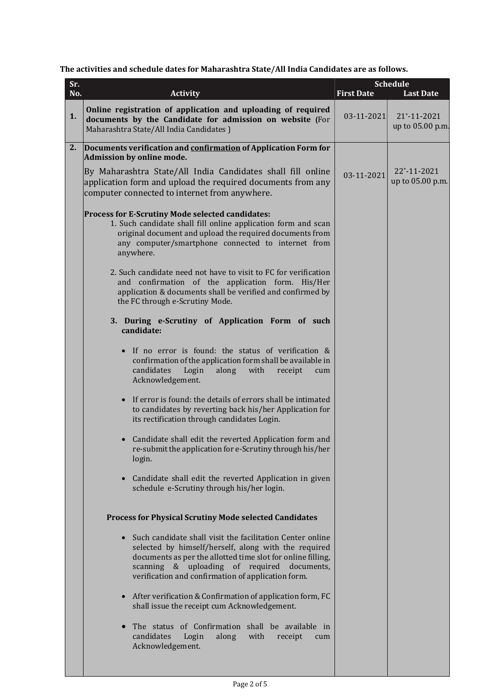# The activities and schedule dates for Maharashtra State/All India Candidates are as follows.

| Sr. |                                                                                                                                                                                                                                                                                                    | <b>Schedule</b>   |                                 |
|-----|----------------------------------------------------------------------------------------------------------------------------------------------------------------------------------------------------------------------------------------------------------------------------------------------------|-------------------|---------------------------------|
| No. | <b>Activity</b>                                                                                                                                                                                                                                                                                    | <b>First Date</b> | <b>Last Date</b>                |
| 1.  | Online registration of application and uploading of required<br>documents by the Candidate for admission on website (For<br>Maharashtra State/All India Candidates)                                                                                                                                | $03 - 11 - 2021$  | 21*-11-2021<br>up to 05.00 p.m. |
| 2.  | Documents verification and confirmation of Application Form for<br>Admission by online mode.                                                                                                                                                                                                       |                   |                                 |
|     | By Maharashtra State/All India Candidates shall fill online<br>application form and upload the required documents from any<br>computer connected to internet from anywhere.                                                                                                                        | 03-11-2021        | 22*-11-2021<br>up to 05.00 p.m. |
|     | Process for E-Scrutiny Mode selected candidates:<br>1. Such candidate shall fill online application form and scan<br>original document and upload the required documents from<br>any computer/smartphone connected to internet from<br>anywhere.                                                   |                   |                                 |
|     | 2. Such candidate need not have to visit to FC for verification<br>and confirmation of the application form. His/Her<br>application & documents shall be verified and confirmed by<br>the FC through e-Scrutiny Mode.                                                                              |                   |                                 |
|     | 3. During e-Scrutiny of Application Form of such<br>candidate:                                                                                                                                                                                                                                     |                   |                                 |
|     | • If no error is found: the status of verification &<br>confirmation of the application form shall be available in<br>candidates<br>Login<br>along<br>with<br>receipt<br>cum<br>Acknowledgement.                                                                                                   |                   |                                 |
|     | If error is found: the details of errors shall be intimated<br>to candidates by reverting back his/her Application for<br>its rectification through candidates Login.                                                                                                                              |                   |                                 |
|     | Candidate shall edit the reverted Application form and<br>re-submit the application for e-Scrutiny through his/her<br>login.                                                                                                                                                                       |                   |                                 |
|     | • Candidate shall edit the reverted Application in given<br>schedule e-Scrutiny through his/her login.                                                                                                                                                                                             |                   |                                 |
|     | <b>Process for Physical Scrutiny Mode selected Candidates</b>                                                                                                                                                                                                                                      |                   |                                 |
|     | Such candidate shall visit the facilitation Center online<br>$\bullet$<br>selected by himself/herself, along with the required<br>documents as per the allotted time slot for online filling,<br>scanning & uploading of required documents,<br>verification and confirmation of application form. |                   |                                 |
|     | After verification & Confirmation of application form, FC<br>shall issue the receipt cum Acknowledgement.                                                                                                                                                                                          |                   |                                 |
|     | The status of Confirmation shall be available in<br>candidates<br>Login<br>along<br>with<br>receipt<br>cum<br>Acknowledgement.                                                                                                                                                                     |                   |                                 |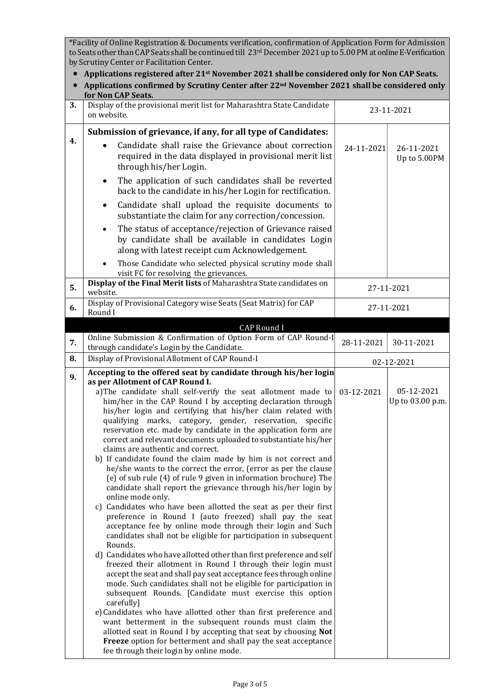\*Facility of Online Registration & Documents verification, confirmation of Application Form for Admission to Seats other than CAP Seats shall be continued till 23rd December 2021 up to 5.00 PM at online E-Verification by Scrutiny Center or Facilitation Center.

- Applications registered after 21<sup>st</sup> November 2021 shall be considered only for Non CAP Seats.
- Applications confirmed by Scrutiny Center after 22<sup>nd</sup> November 2021 shall be considered only for Non CAP Seats.

| for Non CAP Seats.                                                                                                                                                                                                                                                                                                                                                                                                                                                                                                                                                                                                                                                                                                                                                                                                                                                                                                                                                                                                                                                                                                                                                                                                                                                                                                                                                                                                                                                                                                                                                                                          |                                                                                                                                |                                                                                                                                                                                                                    |  |  |  |  |  |  |  |
|-------------------------------------------------------------------------------------------------------------------------------------------------------------------------------------------------------------------------------------------------------------------------------------------------------------------------------------------------------------------------------------------------------------------------------------------------------------------------------------------------------------------------------------------------------------------------------------------------------------------------------------------------------------------------------------------------------------------------------------------------------------------------------------------------------------------------------------------------------------------------------------------------------------------------------------------------------------------------------------------------------------------------------------------------------------------------------------------------------------------------------------------------------------------------------------------------------------------------------------------------------------------------------------------------------------------------------------------------------------------------------------------------------------------------------------------------------------------------------------------------------------------------------------------------------------------------------------------------------------|--------------------------------------------------------------------------------------------------------------------------------|--------------------------------------------------------------------------------------------------------------------------------------------------------------------------------------------------------------------|--|--|--|--|--|--|--|
| Display of the provisional merit list for Maharashtra State Candidate<br>on website.                                                                                                                                                                                                                                                                                                                                                                                                                                                                                                                                                                                                                                                                                                                                                                                                                                                                                                                                                                                                                                                                                                                                                                                                                                                                                                                                                                                                                                                                                                                        | 23-11-2021                                                                                                                     |                                                                                                                                                                                                                    |  |  |  |  |  |  |  |
| Submission of grievance, if any, for all type of Candidates:                                                                                                                                                                                                                                                                                                                                                                                                                                                                                                                                                                                                                                                                                                                                                                                                                                                                                                                                                                                                                                                                                                                                                                                                                                                                                                                                                                                                                                                                                                                                                |                                                                                                                                |                                                                                                                                                                                                                    |  |  |  |  |  |  |  |
| Candidate shall raise the Grievance about correction<br>required in the data displayed in provisional merit list<br>through his/her Login.                                                                                                                                                                                                                                                                                                                                                                                                                                                                                                                                                                                                                                                                                                                                                                                                                                                                                                                                                                                                                                                                                                                                                                                                                                                                                                                                                                                                                                                                  |                                                                                                                                | 26-11-2021<br>Up to 5.00PM                                                                                                                                                                                         |  |  |  |  |  |  |  |
| The application of such candidates shall be reverted<br>٠<br>back to the candidate in his/her Login for rectification.                                                                                                                                                                                                                                                                                                                                                                                                                                                                                                                                                                                                                                                                                                                                                                                                                                                                                                                                                                                                                                                                                                                                                                                                                                                                                                                                                                                                                                                                                      |                                                                                                                                |                                                                                                                                                                                                                    |  |  |  |  |  |  |  |
| Candidate shall upload the requisite documents to<br>٠<br>substantiate the claim for any correction/concession.                                                                                                                                                                                                                                                                                                                                                                                                                                                                                                                                                                                                                                                                                                                                                                                                                                                                                                                                                                                                                                                                                                                                                                                                                                                                                                                                                                                                                                                                                             |                                                                                                                                |                                                                                                                                                                                                                    |  |  |  |  |  |  |  |
| The status of acceptance/rejection of Grievance raised<br>by candidate shall be available in candidates Login<br>along with latest receipt cum Acknowledgement.                                                                                                                                                                                                                                                                                                                                                                                                                                                                                                                                                                                                                                                                                                                                                                                                                                                                                                                                                                                                                                                                                                                                                                                                                                                                                                                                                                                                                                             |                                                                                                                                |                                                                                                                                                                                                                    |  |  |  |  |  |  |  |
| Those Candidate who selected physical scrutiny mode shall<br>visit FC for resolving the grievances.                                                                                                                                                                                                                                                                                                                                                                                                                                                                                                                                                                                                                                                                                                                                                                                                                                                                                                                                                                                                                                                                                                                                                                                                                                                                                                                                                                                                                                                                                                         |                                                                                                                                |                                                                                                                                                                                                                    |  |  |  |  |  |  |  |
| Display of the Final Merit lists of Maharashtra State candidates on<br>website.                                                                                                                                                                                                                                                                                                                                                                                                                                                                                                                                                                                                                                                                                                                                                                                                                                                                                                                                                                                                                                                                                                                                                                                                                                                                                                                                                                                                                                                                                                                             | 27-11-2021                                                                                                                     |                                                                                                                                                                                                                    |  |  |  |  |  |  |  |
| Round I                                                                                                                                                                                                                                                                                                                                                                                                                                                                                                                                                                                                                                                                                                                                                                                                                                                                                                                                                                                                                                                                                                                                                                                                                                                                                                                                                                                                                                                                                                                                                                                                     |                                                                                                                                | 27-11-2021                                                                                                                                                                                                         |  |  |  |  |  |  |  |
|                                                                                                                                                                                                                                                                                                                                                                                                                                                                                                                                                                                                                                                                                                                                                                                                                                                                                                                                                                                                                                                                                                                                                                                                                                                                                                                                                                                                                                                                                                                                                                                                             |                                                                                                                                |                                                                                                                                                                                                                    |  |  |  |  |  |  |  |
|                                                                                                                                                                                                                                                                                                                                                                                                                                                                                                                                                                                                                                                                                                                                                                                                                                                                                                                                                                                                                                                                                                                                                                                                                                                                                                                                                                                                                                                                                                                                                                                                             | 28-11-2021                                                                                                                     | 30-11-2021                                                                                                                                                                                                         |  |  |  |  |  |  |  |
| Display of Provisional Allotment of CAP Round-I                                                                                                                                                                                                                                                                                                                                                                                                                                                                                                                                                                                                                                                                                                                                                                                                                                                                                                                                                                                                                                                                                                                                                                                                                                                                                                                                                                                                                                                                                                                                                             |                                                                                                                                | 02-12-2021                                                                                                                                                                                                         |  |  |  |  |  |  |  |
|                                                                                                                                                                                                                                                                                                                                                                                                                                                                                                                                                                                                                                                                                                                                                                                                                                                                                                                                                                                                                                                                                                                                                                                                                                                                                                                                                                                                                                                                                                                                                                                                             |                                                                                                                                |                                                                                                                                                                                                                    |  |  |  |  |  |  |  |
| as per Allotment of CAP Round I.<br>a)The candidate shall self-verify the seat allotment made to<br>him/her in the CAP Round I by accepting declaration through<br>his/her login and certifying that his/her claim related with<br>qualifying marks, category, gender, reservation, specific<br>reservation etc. made by candidate in the application form are<br>correct and relevant documents uploaded to substantiate his/her<br>claims are authentic and correct.<br>b) If candidate found the claim made by him is not correct and<br>he/she wants to the correct the error, (error as per the clause<br>(e) of sub rule (4) of rule 9 given in information brochure) The<br>candidate shall report the grievance through his/her login by<br>online mode only.<br>c) Candidates who have been allotted the seat as per their first<br>preference in Round I (auto freezed) shall pay the seat<br>acceptance fee by online mode through their login and Such<br>candidates shall not be eligible for participation in subsequent<br>Rounds.<br>d) Candidates who have allotted other than first preference and self<br>freezed their allotment in Round I through their login must<br>accept the seat and shall pay seat acceptance fees through online<br>mode. Such candidates shall not be eligible for participation in<br>subsequent Rounds. [Candidate must exercise this option<br>carefully]<br>e) Candidates who have allotted other than first preference and<br>want betterment in the subsequent rounds must claim the<br>allotted seat in Round I by accepting that seat by choosing Not | 03-12-2021                                                                                                                     | 05-12-2021<br>Up to 03.00 p.m.                                                                                                                                                                                     |  |  |  |  |  |  |  |
|                                                                                                                                                                                                                                                                                                                                                                                                                                                                                                                                                                                                                                                                                                                                                                                                                                                                                                                                                                                                                                                                                                                                                                                                                                                                                                                                                                                                                                                                                                                                                                                                             | Display of Provisional Category wise Seats (Seat Matrix) for CAP<br>CAP Round I<br>through candidate's Login by the Candidate. | 24-11-2021<br>Online Submission & Confirmation of Option Form of CAP Round-I<br>Accepting to the offered seat by candidate through his/her login<br>Freeze option for betterment and shall pay the seat acceptance |  |  |  |  |  |  |  |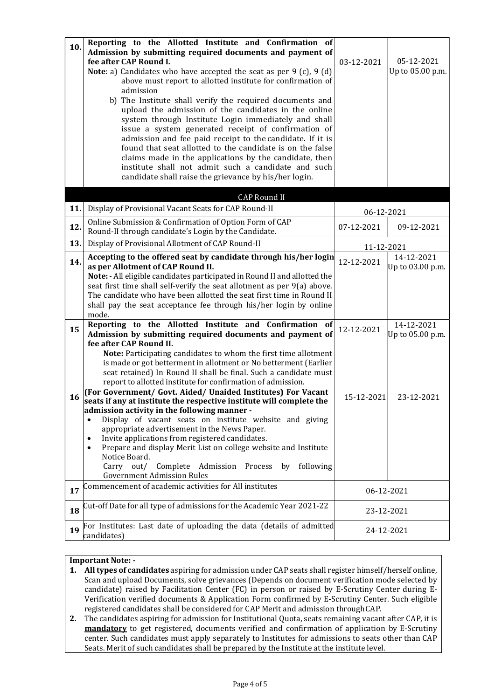| 10. | Reporting to the Allotted Institute and Confirmation of<br>Admission by submitting required documents and payment of<br>fee after CAP Round I.<br><b>Note</b> : a) Candidates who have accepted the seat as per $9$ (c), $9$ (d)<br>above must report to allotted institute for confirmation of<br>admission<br>b) The Institute shall verify the required documents and<br>upload the admission of the candidates in the online<br>system through Institute Login immediately and shall<br>issue a system generated receipt of confirmation of<br>admission and fee paid receipt to the candidate. If it is<br>found that seat allotted to the candidate is on the false | 03-12-2021 | 05-12-2021<br>Up to 05.00 p.m. |
|-----|---------------------------------------------------------------------------------------------------------------------------------------------------------------------------------------------------------------------------------------------------------------------------------------------------------------------------------------------------------------------------------------------------------------------------------------------------------------------------------------------------------------------------------------------------------------------------------------------------------------------------------------------------------------------------|------------|--------------------------------|
|     | claims made in the applications by the candidate, then<br>institute shall not admit such a candidate and such<br>candidate shall raise the grievance by his/her login.                                                                                                                                                                                                                                                                                                                                                                                                                                                                                                    |            |                                |
|     | <b>CAP Round II</b>                                                                                                                                                                                                                                                                                                                                                                                                                                                                                                                                                                                                                                                       |            |                                |
| 11. | Display of Provisional Vacant Seats for CAP Round-II                                                                                                                                                                                                                                                                                                                                                                                                                                                                                                                                                                                                                      | 06-12-2021 |                                |
| 12. | Online Submission & Confirmation of Option Form of CAP<br>Round-II through candidate's Login by the Candidate.                                                                                                                                                                                                                                                                                                                                                                                                                                                                                                                                                            | 07-12-2021 | 09-12-2021                     |
| 13. | Display of Provisional Allotment of CAP Round-II                                                                                                                                                                                                                                                                                                                                                                                                                                                                                                                                                                                                                          | 11-12-2021 |                                |
| 14. | Accepting to the offered seat by candidate through his/her login<br>as per Allotment of CAP Round II.<br>Note: - All eligible candidates participated in Round II and allotted the<br>seat first time shall self-verify the seat allotment as per 9(a) above.<br>The candidate who have been allotted the seat first time in Round II<br>shall pay the seat acceptance fee through his/her login by online<br>mode.                                                                                                                                                                                                                                                       | 12-12-2021 | 14-12-2021<br>Up to 03.00 p.m. |
| 15  | Reporting to the Allotted Institute and Confirmation<br>- of<br>Admission by submitting required documents and payment of<br>fee after CAP Round II.<br>Note: Participating candidates to whom the first time allotment<br>is made or got betterment in allotment or No betterment (Earlier<br>seat retained) In Round II shall be final. Such a candidate must<br>report to allotted institute for confirmation of admission.<br>(For Government/ Govt. Aided/ Unaided Institutes) For Vacant                                                                                                                                                                            | 12-12-2021 | 14-12-2021<br>Up to 05.00 p.m. |
| 16  | seats if any at institute the respective institute will complete the<br>admission activity in the following manner -<br>Display of vacant seats on institute website and giving<br>$\bullet$<br>appropriate advertisement in the News Paper.<br>Invite applications from registered candidates.<br>$\bullet$<br>Prepare and display Merit List on college website and Institute<br>$\bullet$<br>Notice Board.<br>Carry out/<br>Complete Admission<br>Process<br>following<br>by<br><b>Government Admission Rules</b>                                                                                                                                                      | 15-12-2021 | 23-12-2021                     |
| 17  | Commencement of academic activities for All institutes                                                                                                                                                                                                                                                                                                                                                                                                                                                                                                                                                                                                                    | 06-12-2021 |                                |
| 18  | Cut-off Date for all type of admissions for the Academic Year 2021-22                                                                                                                                                                                                                                                                                                                                                                                                                                                                                                                                                                                                     | 23-12-2021 |                                |
| 19  | For Institutes: Last date of uploading the data (details of admitted<br>candidates)                                                                                                                                                                                                                                                                                                                                                                                                                                                                                                                                                                                       |            | 24-12-2021                     |

## Important Note: -

- 1. All types of candidates aspiring for admission under CAP seats shall register himself/herself online, Scan and upload Documents, solve grievances (Depends on document verification mode selected by candidate) raised by Facilitation Center (FC) in person or raised by E-Scrutiny Center during E-Verification verified documents & Application Form confirmed by E-Scrutiny Center. Such eligible registered candidates shall be considered for CAP Merit and admission through CAP.
- 2. The candidates aspiring for admission for Institutional Quota, seats remaining vacant after CAP, it is mandatory to get registered, documents verified and confirmation of application by E-Scrutiny center. Such candidates must apply separately to Institutes for admissions to seats other than CAP Seats. Merit of such candidates shall be prepared by the Institute at the institute level.